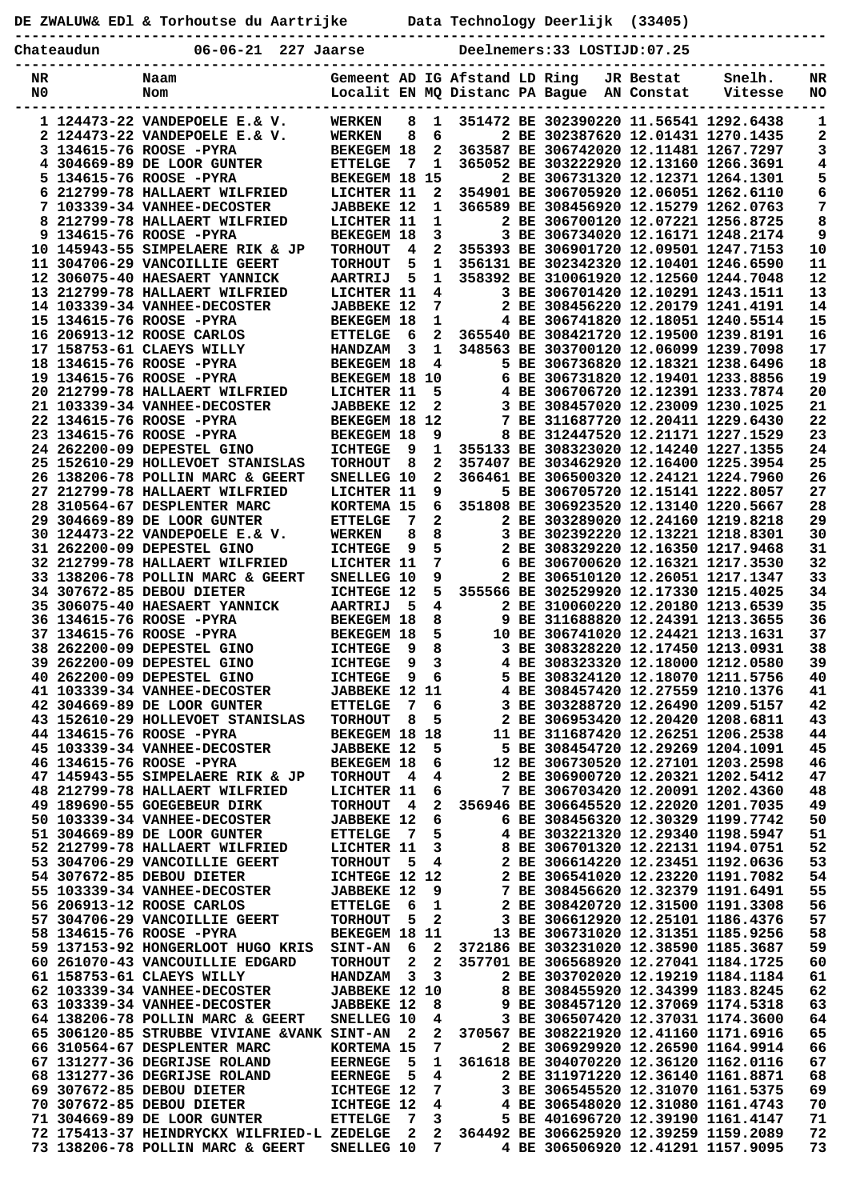|    |            | DE ZWALUW& ED1 & Torhoutse du Aartrijke                                 |                                       |                             |                                           |                               |  | Data Technology Deerlijk (33405)                                                   |           |                                                                              |            |
|----|------------|-------------------------------------------------------------------------|---------------------------------------|-----------------------------|-------------------------------------------|-------------------------------|--|------------------------------------------------------------------------------------|-----------|------------------------------------------------------------------------------|------------|
|    | Chateaudun | 06-06-21 227 Jaarse                                                     |                                       | Deelnemers:33 LOSTIJD:07.25 |                                           |                               |  |                                                                                    |           |                                                                              |            |
| NR |            | Naam                                                                    |                                       |                             |                                           | Gemeent AD IG Afstand LD Ring |  |                                                                                    | JR Bestat | Snelh.                                                                       | NR         |
| N0 |            | Nom                                                                     |                                       |                             |                                           |                               |  | Localit EN MO Distanc PA Baque AN Constat                                          |           | Vitesse                                                                      | NO         |
|    |            | 1 124473-22 VANDEPOELE E.& V.                                           | <b>WERKEN</b>                         | 8                           | 1                                         |                               |  | 351472 BE 302390220 11.56541 1292.6438                                             |           |                                                                              | 1          |
|    |            | 2 124473-22 VANDEPOELE E.& V.<br>3 134615-76 ROOSE -PYRA                | <b>WERKEN</b>                         | 8                           | 6<br>$\mathbf{2}$                         |                               |  | 2 BE 302387620 12.01431 1270.1435                                                  |           | 363587 BE 306742020 12.11481 1267.7297                                       | 2<br>3     |
|    |            | 4 304669-89 DE LOOR GUNTER                                              | <b>BEKEGEM 18</b><br><b>ETTELGE</b>   | 7                           | 1                                         |                               |  | 365052 BE 303222920 12.13160 1266.3691                                             |           |                                                                              | 4          |
|    |            | 5 134615-76 ROOSE -PYRA                                                 | BEKEGEM 18 15                         |                             |                                           |                               |  |                                                                                    |           | 2 BE 306731320 12.12371 1264.1301                                            | 5<br>6     |
|    |            | 6 212799-78 HALLAERT WILFRIED                                           | LICHTER 11                            |                             | $\overline{2}$                            |                               |  |                                                                                    |           | 354901 BE 306705920 12.06051 1262.6110                                       |            |
|    |            | 7 103339-34 VANHEE-DECOSTER<br>8 212799-78 HALLAERT WILFRIED            | <b>JABBEKE 12</b><br>LICHTER 11       |                             | 1<br>$\mathbf{1}$                         |                               |  | 366589 BE 308456920 12.15279 1262.0763<br>2 BE 306700120 12.07221 1256.8725        |           |                                                                              | 7<br>8     |
|    |            | 9 134615-76 ROOSE -PYRA                                                 | <b>BEKEGEM 18</b>                     |                             | 3                                         |                               |  |                                                                                    |           | 3 BE 306734020 12.16171 1248.2174                                            | 9          |
|    |            | 10 145943-55 SIMPELAERE RIK & JP                                        | <b>TORHOUT</b>                        | 4                           | $\mathbf{2}$                              |                               |  |                                                                                    |           | 355393 BE 306901720 12.09501 1247.7153                                       | ${\bf 10}$ |
|    |            | 11 304706-29 VANCOILLIE GEERT                                           | <b>TORHOUT</b>                        | 5                           | $\mathbf{1}$<br>$\mathbf{1}$              |                               |  | 356131 BE 302342320 12.10401 1246.6590                                             |           |                                                                              | 11<br>12   |
|    |            | 12 306075-40 HAESAERT YANNICK<br>13 212799-78 HALLAERT WILFRIED         | <b>AARTRIJ</b><br>LICHTER 11          | 5                           | 4                                         |                               |  | 358392 BE 310061920 12.12560 1244.7048<br>3 BE 306701420 12.10291 1243.1511        |           |                                                                              | 13         |
|    |            | 14 103339-34 VANHEE-DECOSTER                                            | <b>JABBEKE 12</b>                     |                             | 7                                         |                               |  | 2 BE 308456220 12.20179 1241.4191                                                  |           |                                                                              | 14         |
|    |            | 15 134615-76 ROOSE -PYRA                                                | <b>BEKEGEM 18</b>                     |                             | $\mathbf{1}$                              |                               |  |                                                                                    |           | 4 BE 306741820 12.18051 1240.5514                                            | 15         |
|    |            | 16 206913-12 ROOSE CARLOS<br>17 158753-61 CLAEYS WILLY                  | <b>ETTELGE</b><br><b>HANDZAM</b>      | 6<br>3                      | $\mathbf{1}$                              |                               |  | 2 365540 BE 308421720 12.19500 1239.8191<br>348563 BE 303700120 12.06099 1239.7098 |           |                                                                              | 16<br>17   |
|    |            | 18 134615-76 ROOSE -PYRA                                                | <b>BEKEGEM 18</b>                     |                             | 4                                         |                               |  | 5 BE 306736820 12.18321 1238.6496                                                  |           |                                                                              | 18         |
|    |            | 19 134615-76 ROOSE -PYRA                                                | BEKEGEM 18 10                         |                             |                                           |                               |  | 6 BE 306731820 12.19401 1233.8856                                                  |           |                                                                              | 19         |
|    |            | 20 212799-78 HALLAERT WILFRIED                                          | LICHTER 11                            |                             | 5                                         |                               |  |                                                                                    |           | 4 BE 306706720 12.12391 1233.7874                                            | 20         |
|    |            | 21 103339-34 VANHEE-DECOSTER<br>22 134615-76 ROOSE -PYRA                | <b>JABBEKE 12</b><br>BEKEGEM 18 12    |                             | $\mathbf{2}$                              |                               |  | 3 BE 308457020 12.23009 1230.1025<br>7 BE 311687720 12.20411 1229.6430             |           |                                                                              | 21<br>22   |
|    |            | 23 134615-76 ROOSE -PYRA                                                | <b>BEKEGEM 18</b>                     |                             | 9                                         |                               |  | 8 BE 312447520 12.21171 1227.1529                                                  |           |                                                                              | 23         |
|    |            | 24 262200-09 DEPESTEL GINO                                              | <b>ICHTEGE</b>                        | 9                           | $\mathbf{1}$                              |                               |  | 355133 BE 308323020 12.14240 1227.1355                                             |           |                                                                              | 24         |
|    |            | 25 152610-29 HOLLEVOET STANISLAS                                        | <b>TORHOUT</b>                        | 8                           | $\mathbf{2}$                              |                               |  |                                                                                    |           | 357407 BE 303462920 12.16400 1225.3954                                       | 25         |
|    |            | 26 138206-78 POLLIN MARC & GEERT<br>27 212799-78 HALLAERT WILFRIED      | SNELLEG 10<br>LICHTER 11              |                             | $\overline{2}$<br>9                       |                               |  | 366461 BE 306500320 12.24121 1224.7960<br>5 BE 306705720 12.15141 1222.8057        |           |                                                                              | 26<br>27   |
|    |            | 28 310564-67 DESPLENTER MARC                                            | KORTEMA 15                            |                             | 6                                         |                               |  |                                                                                    |           | 351808 BE 306923520 12.13140 1220.5667                                       | 28         |
|    |            | 29 304669-89 DE LOOR GUNTER                                             | <b>ETTELGE</b>                        | 7                           | $\overline{2}$                            |                               |  | 2 BE 303289020 12.24160 1219.8218                                                  |           |                                                                              | 29         |
|    |            | 30 124473-22 VANDEPOELE E.& V.                                          | <b>WERKEN</b>                         | 8                           | 8                                         |                               |  | 3 BE 302392220 12.13221 1218.8301                                                  |           |                                                                              | 30         |
|    |            | 31 262200-09 DEPESTEL GINO<br>32 212799-78 HALLAERT WILFRIED            | <b>ICHTEGE</b><br>LICHTER 11          | 9                           | 5<br>7                                    |                               |  | 2 BE 308329220 12.16350 1217.9468<br>6 BE 306700620 12.16321 1217.3530             |           |                                                                              | 31<br>32   |
|    |            | 33 138206-78 POLLIN MARC & GEERT                                        | SNELLEG 10                            |                             | 9                                         |                               |  |                                                                                    |           | 2 BE 306510120 12.26051 1217.1347                                            | 33         |
|    |            | 34 307672-85 DEBOU DIETER                                               | ICHTEGE 12                            |                             | 5.                                        |                               |  | 355566 BE 302529920 12.17330 1215.4025                                             |           |                                                                              | 34         |
|    |            | 35 306075-40 HAESAERT YANNICK<br>36 134615-76 ROOSE -PYRA               | <b>AARTRIJ</b><br><b>BEKEGEM 18</b>   | - 5                         | 4<br>8                                    |                               |  | 2 BE 310060220 12.20180 1213.6539<br>9 BE 311688820 12.24391 1213.3655             |           |                                                                              | 35<br>36   |
|    |            | 37 134615-76 ROOSE -PYRA                                                | <b>BEKEGEM 18</b>                     |                             | 5                                         |                               |  | 10 BE 306741020 12.24421 1213.1631                                                 |           |                                                                              | 37         |
|    |            | 38 262200-09 DEPESTEL GINO                                              | ICHTEGE 9                             |                             | 8                                         |                               |  |                                                                                    |           | 3 BE 308328220 12.17450 1213.0931                                            | 38         |
|    |            | 39 262200-09 DEPESTEL GINO                                              | <b>ICHTEGE 9</b>                      |                             | 3                                         |                               |  |                                                                                    |           | 4 BE 308323320 12.18000 1212.0580                                            | 39         |
|    |            | 40 262200-09 DEPESTEL GINO<br>41 103339-34 VANHEE-DECOSTER              | ICHTEGE 9 6<br><b>JABBEKE 12 11</b>   |                             |                                           |                               |  |                                                                                    |           | 5 BE 308324120 12.18070 1211.5756<br>4 BE 308457420 12.27559 1210.1376       | 40<br>41   |
|    |            | 42 304669-89 DE LOOR GUNTER                                             | <b>ETTELGE</b>                        | - 7                         | 6                                         |                               |  |                                                                                    |           | 3 BE 303288720 12.26490 1209.5157                                            | 42         |
|    |            | 43 152610-29 HOLLEVOET STANISLAS                                        | TORHOUT 8                             |                             | 5                                         |                               |  |                                                                                    |           | 2 BE 306953420 12.20420 1208.6811                                            | 43         |
|    |            | 44 134615-76 ROOSE -PYRA<br>45 103339-34 VANHEE-DECOSTER                | BEKEGEM 18 18<br><b>JABBEKE 12</b>    |                             | 5                                         |                               |  |                                                                                    |           | 11 BE 311687420 12.26251 1206.2538<br>5 BE 308454720 12.29269 1204.1091      | 44<br>45   |
|    |            | 46 134615-76 ROOSE -PYRA                                                | <b>BEKEGEM 18</b>                     |                             | 6                                         |                               |  |                                                                                    |           | 12 BE 306730520 12.27101 1203.2598                                           | 46         |
|    |            | 47 145943-55 SIMPELAERE RIK & JP                                        | TORHOUT 4                             |                             | 4                                         |                               |  |                                                                                    |           | 2 BE 306900720 12.20321 1202.5412                                            | 47         |
|    |            | 48 212799-78 HALLAERT WILFRIED                                          | LICHTER 11                            |                             | 6                                         |                               |  |                                                                                    |           | 7 BE 306703420 12.20091 1202.4360                                            | 48         |
|    |            | 49 189690-55 GOEGEBEUR DIRK<br>50 103339-34 VANHEE-DECOSTER             | TORHOUT 4<br><b>JABBEKE 12</b>        |                             | $\overline{\mathbf{2}}$<br>- 6            |                               |  |                                                                                    |           | 356946 BE 306645520 12.22020 1201.7035<br>6 BE 308456320 12.30329 1199.7742  | 49<br>50   |
|    |            | 51 304669-89 DE LOOR GUNTER                                             | <b>ETTELGE</b>                        |                             | 7 5                                       |                               |  |                                                                                    |           | 4 BE 303221320 12.29340 1198.5947                                            | 51         |
|    |            | 52 212799-78 HALLAERT WILFRIED                                          | <b>LICHTER 11</b>                     |                             | $\mathbf{3}$                              |                               |  |                                                                                    |           | 8 BE 306701320 12.22131 1194.0751                                            | 52         |
|    |            | 53 304706-29 VANCOILLIE GEERT                                           | TORHOUT 5                             |                             | $\overline{4}$                            |                               |  |                                                                                    |           | 2 BE 306614220 12.23451 1192.0636                                            | 53         |
|    |            | 54 307672-85 DEBOU DIETER<br>55 103339-34 VANHEE-DECOSTER               | ICHTEGE 12 12<br><b>JABBEKE 12</b>    |                             | - 9                                       |                               |  |                                                                                    |           | 2 BE 306541020 12.23220 1191.7082<br>7 BE 308456620 12.32379 1191.6491       | 54<br>55   |
|    |            | 56 206913-12 ROOSE CARLOS                                               | ETTELGE 6                             |                             | $\mathbf{1}$                              |                               |  |                                                                                    |           | 2 BE 308420720 12.31500 1191.3308                                            | 56         |
|    |            | 57 304706-29 VANCOILLIE GEERT                                           | TORHOUT 5 2                           |                             |                                           |                               |  |                                                                                    |           | 3 BE 306612920 12.25101 1186.4376                                            | 57         |
|    |            | 58 134615-76 ROOSE -PYRA<br>59 137153-92 HONGERLOOT HUGO KRIS SINT-AN 6 | <b>BEKEGEM 18 11</b>                  |                             | $\mathbf{2}$                              |                               |  |                                                                                    |           | 13 BE 306731020 12.31351 1185.9256<br>372186 BE 303231020 12.38590 1185.3687 | 58<br>59   |
|    |            | 60 261070-43 VANCOUILLIE EDGARD                                         | <b>TORHOUT</b>                        |                             | $2\quad 2$                                |                               |  | 357701 BE 306568920 12.27041 1184.1725                                             |           |                                                                              | 60         |
|    |            | 61 158753-61 CLAEYS WILLY                                               | HANDZAM 3                             |                             | $\overline{\mathbf{3}}$                   |                               |  |                                                                                    |           | 2 BE 303702020 12.19219 1184.1184                                            | 61         |
|    |            | 62 103339-34 VANHEE-DECOSTER                                            | JABBEKE 12 10                         |                             |                                           |                               |  | 8 BE 308455920 12.34399 1183.8245                                                  |           |                                                                              | 62         |
|    |            | 63 103339-34 VANHEE-DECOSTER<br>64 138206-78 POLLIN MARC & GEERT        | <b>JABBEKE 12</b><br>SNELLEG 10       |                             | - 8<br>4                                  |                               |  |                                                                                    |           | 9 BE 308457120 12.37069 1174.5318<br>3 BE 306507420 12.37031 1174.3600       | 63<br>64   |
|    |            | 65 306120-85 STRUBBE VIVIANE & VANK SINT-AN 2                           |                                       |                             | $\mathbf{2}$                              |                               |  | 370567 BE 308221920 12.41160 1171.6916                                             |           |                                                                              | 65         |
|    |            | 66 310564-67 DESPLENTER MARC                                            | KORTEMA 15                            |                             | 7                                         |                               |  |                                                                                    |           | 2 BE 306929920 12.26590 1164.9914                                            | 66         |
|    |            | 67 131277-36 DEGRIJSE ROLAND                                            | EERNEGE 5                             |                             | $\mathbf{1}$                              |                               |  |                                                                                    |           | 361618 BE 304070220 12.36120 1162.0116                                       | 67         |
|    |            | 68 131277-36 DEGRIJSE ROLAND<br>69 307672-85 DEBOU DIETER               | <b>EERNEGE</b> 5<br><b>ICHTEGE 12</b> |                             | $\overline{\mathbf{4}}$<br>$\overline{7}$ |                               |  |                                                                                    |           | 2 BE 311971220 12.36140 1161.8871<br>3 BE 306545520 12.31070 1161.5375       | 68<br>69   |
|    |            | 70 307672-85 DEBOU DIETER                                               | <b>ICHTEGE 12</b>                     |                             | 4                                         |                               |  |                                                                                    |           | 4 BE 306548020 12.31080 1161.4743                                            | 70         |
|    |            | 71 304669-89 DE LOOR GUNTER                                             | ETTELGE 7 3                           |                             |                                           |                               |  | 5 BE 401696720 12.39190 1161.4147                                                  |           |                                                                              | 71         |

 **72 175413-37 HEINDRYCKX WILFRIED-L ZEDELGE 2 2 364492 BE 306625920 12.39259 1159.2089 72 73 138206-78 POLLIN MARC & GEERT SNELLEG 10 7 4 BE 306506920 12.41291 1157.9095 73**